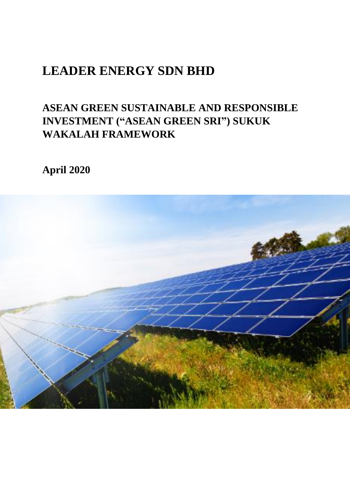## **ASEAN GREEN SUSTAINABLE AND RESPONSIBLE INVESTMENT ("ASEAN GREEN SRI") SUKUK WAKALAH FRAMEWORK**

**April 2020**

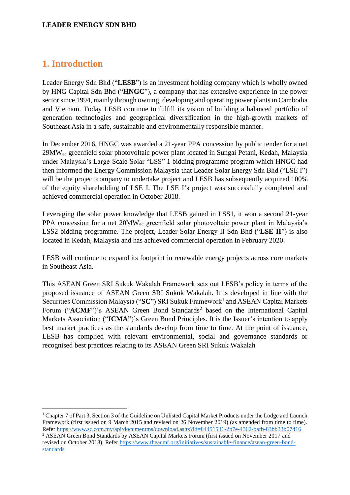## **1. Introduction**

1

Leader Energy Sdn Bhd ("**LESB**") is an investment holding company which is wholly owned by HNG Capital Sdn Bhd ("**HNGC**"), a company that has extensive experience in the power sector since 1994, mainly through owning, developing and operating power plants in Cambodia and Vietnam. Today LESB continue to fulfill its vision of building a balanced portfolio of generation technologies and geographical diversification in the high-growth markets of Southeast Asia in a safe, sustainable and environmentally responsible manner.

In December 2016, HNGC was awarded a 21-year PPA concession by public tender for a net 29MWac greenfield solar photovoltaic power plant located in Sungai Petani, Kedah, Malaysia under Malaysia's Large-Scale-Solar "LSS" 1 bidding programme program which HNGC had then informed the Energy Commission Malaysia that Leader Solar Energy Sdn Bhd ("LSE I") will be the project company to undertake project and LESB has subsequently acquired 100% of the equity shareholding of LSE I. The LSE I's project was successfully completed and achieved commercial operation in October 2018.

Leveraging the solar power knowledge that LESB gained in LSS1, it won a second 21-year PPA concession for a net 20MWac greenfield solar photovoltaic power plant in Malaysia's LSS2 bidding programme. The project, Leader Solar Energy II Sdn Bhd ("**LSE II**") is also located in Kedah, Malaysia and has achieved commercial operation in February 2020.

LESB will continue to expand its footprint in renewable energy projects across core markets in Southeast Asia.

This ASEAN Green SRI Sukuk Wakalah Framework sets out LESB's policy in terms of the proposed issuance of ASEAN Green SRI Sukuk Wakalah. It is developed in line with the Securities Commission Malaysia ("SC") SRI Sukuk Framework<sup>1</sup> and ASEAN Capital Markets Forum ("ACMF")'s ASEAN Green Bond Standards<sup>2</sup> based on the International Capital Markets Association ("**ICMA**")'s Green Bond Principles. It is the Issuer's intention to apply best market practices as the standards develop from time to time. At the point of issuance, LESB has complied with relevant environmental, social and governance standards or recognised best practices relating to its ASEAN Green SRI Sukuk Wakalah

<sup>&</sup>lt;sup>1</sup> Chapter 7 of Part 3, Section 3 of the Guideline on Unlisted Capital Market Products under the Lodge and Launch Framework (first issued on 9 March 2015 and revised on 26 November 2019) (as amended from time to time). Refe[r https://www.sc.com.my/api/documentms/download.ashx?id=84491531-2b7e-4362-bafb-83bb33b07416](https://www.sc.com.my/api/documentms/download.ashx?id=84491531-2b7e-4362-bafb-83bb33b07416)

<sup>&</sup>lt;sup>2</sup> ASEAN Green Bond Standards by ASEAN Capital Markets Forum (first issued on November 2017 and revised on October 2018). Refer [https://www.theacmf.org/initiatives/sustainable-finance/asean-green-bond](https://www.theacmf.org/initiatives/sustainable-finance/asean-green-bond-standards)[standards](https://www.theacmf.org/initiatives/sustainable-finance/asean-green-bond-standards)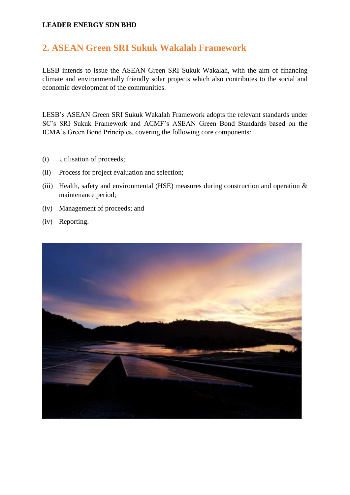## **2. ASEAN Green SRI Sukuk Wakalah Framework**

LESB intends to issue the ASEAN Green SRI Sukuk Wakalah, with the aim of financing climate and environmentally friendly solar projects which also contributes to the social and economic development of the communities.

LESB's ASEAN Green SRI Sukuk Wakalah Framework adopts the relevant standards under SC's SRI Sukuk Framework and ACMF's ASEAN Green Bond Standards based on the ICMA's Green Bond Principles, covering the following core components:

- (i) Utilisation of proceeds;
- (ii) Process for project evaluation and selection;
- (iii) Health, safety and environmental (HSE) measures during construction and operation  $\&$ maintenance period;
- (iv) Management of proceeds; and
- (iv) Reporting.

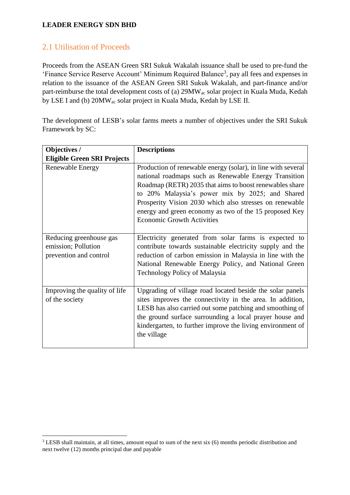## 2.1 Utilisation of Proceeds

Proceeds from the ASEAN Green SRI Sukuk Wakalah issuance shall be used to pre-fund the 'Finance Service Reserve Account' Minimum Required Balance<sup>3</sup>, pay all fees and expenses in relation to the issuance of the ASEAN Green SRI Sukuk Wakalah, and part-finance and/or part-reimburse the total development costs of (a) 29MWac solar project in Kuala Muda, Kedah by LSE I and (b) 20MWac solar project in Kuala Muda, Kedah by LSE II.

The development of LESB's solar farms meets a number of objectives under the SRI Sukuk Framework by SC:

| Objectives /                                                             | <b>Descriptions</b>                                                                                                                                                                                                                                                                                                                                                                           |  |
|--------------------------------------------------------------------------|-----------------------------------------------------------------------------------------------------------------------------------------------------------------------------------------------------------------------------------------------------------------------------------------------------------------------------------------------------------------------------------------------|--|
| <b>Eligible Green SRI Projects</b>                                       |                                                                                                                                                                                                                                                                                                                                                                                               |  |
| <b>Renewable Energy</b>                                                  | Production of renewable energy (solar), in line with several<br>national roadmaps such as Renewable Energy Transition<br>Roadmap (RETR) 2035 that aims to boost renewables share<br>to 20% Malaysia's power mix by 2025; and Shared<br>Prosperity Vision 2030 which also stresses on renewable<br>energy and green economy as two of the 15 proposed Key<br><b>Economic Growth Activities</b> |  |
| Reducing greenhouse gas<br>emission; Pollution<br>prevention and control | Electricity generated from solar farms is expected to<br>contribute towards sustainable electricity supply and the<br>reduction of carbon emission in Malaysia in line with the<br>National Renewable Energy Policy, and National Green<br><b>Technology Policy of Malaysia</b>                                                                                                               |  |
| Improving the quality of life<br>of the society                          | Upgrading of village road located beside the solar panels<br>sites improves the connectivity in the area. In addition,<br>LESB has also carried out some patching and smoothing of<br>the ground surface surrounding a local prayer house and<br>kindergarten, to further improve the living environment of<br>the village                                                                    |  |

<sup>1</sup> <sup>3</sup> LESB shall maintain, at all times, amount equal to sum of the next six (6) months periodic distribution and next twelve (12) months principal due and payable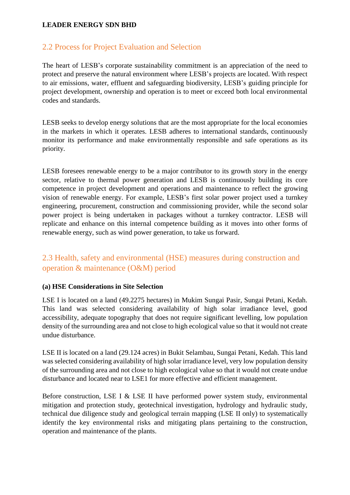## 2.2 Process for Project Evaluation and Selection

The heart of LESB's corporate sustainability commitment is an appreciation of the need to protect and preserve the natural environment where LESB's projects are located. With respect to air emissions, water, effluent and safeguarding biodiversity, LESB's guiding principle for project development, ownership and operation is to meet or exceed both local environmental codes and standards.

LESB seeks to develop energy solutions that are the most appropriate for the local economies in the markets in which it operates. LESB adheres to international standards, continuously monitor its performance and make environmentally responsible and safe operations as its priority.

LESB foresees renewable energy to be a major contributor to its growth story in the energy sector, relative to thermal power generation and LESB is continuously building its core competence in project development and operations and maintenance to reflect the growing vision of renewable energy. For example, LESB's first solar power project used a turnkey engineering, procurement, construction and commissioning provider, while the second solar power project is being undertaken in packages without a turnkey contractor. LESB will replicate and enhance on this internal competence building as it moves into other forms of renewable energy, such as wind power generation, to take us forward.

## 2.3 Health, safety and environmental (HSE) measures during construction and operation & maintenance (O&M) period

#### **(a) HSE Considerations in Site Selection**

LSE I is located on a land (49.2275 hectares) in Mukim Sungai Pasir, Sungai Petani, Kedah. This land was selected considering availability of high solar irradiance level, good accessibility, adequate topography that does not require significant levelling, low population density of the surrounding area and not close to high ecological value so that it would not create undue disturbance.

LSE II is located on a land (29.124 acres) in Bukit Selambau, Sungai Petani, Kedah. This land was selected considering availability of high solar irradiance level, very low population density of the surrounding area and not close to high ecological value so that it would not create undue disturbance and located near to LSE1 for more effective and efficient management.

Before construction, LSE I & LSE II have performed power system study, environmental mitigation and protection study, geotechnical investigation, hydrology and hydraulic study, technical due diligence study and geological terrain mapping (LSE II only) to systematically identify the key environmental risks and mitigating plans pertaining to the construction, operation and maintenance of the plants.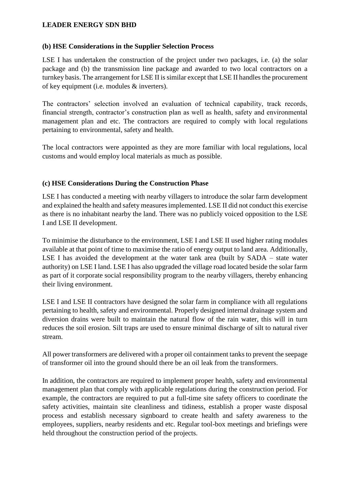#### **(b) HSE Considerations in the Supplier Selection Process**

LSE I has undertaken the construction of the project under two packages, i.e. (a) the solar package and (b) the transmission line package and awarded to two local contractors on a turnkey basis. The arrangement for LSE II is similar except that LSE II handles the procurement of key equipment (i.e. modules & inverters).

The contractors' selection involved an evaluation of technical capability, track records, financial strength, contractor's construction plan as well as health, safety and environmental management plan and etc. The contractors are required to comply with local regulations pertaining to environmental, safety and health.

The local contractors were appointed as they are more familiar with local regulations, local customs and would employ local materials as much as possible.

#### **(c) HSE Considerations During the Construction Phase**

LSE I has conducted a meeting with nearby villagers to introduce the solar farm development and explained the health and safety measures implemented. LSE II did not conduct this exercise as there is no inhabitant nearby the land. There was no publicly voiced opposition to the LSE I and LSE II development.

To minimise the disturbance to the environment, LSE I and LSE II used higher rating modules available at that point of time to maximise the ratio of energy output to land area. Additionally, LSE I has avoided the development at the water tank area (built by SADA – state water authority) on LSE I land. LSE I has also upgraded the village road located beside the solar farm as part of it corporate social responsibility program to the nearby villagers, thereby enhancing their living environment.

LSE I and LSE II contractors have designed the solar farm in compliance with all regulations pertaining to health, safety and environmental. Properly designed internal drainage system and diversion drains were built to maintain the natural flow of the rain water, this will in turn reduces the soil erosion. Silt traps are used to ensure minimal discharge of silt to natural river stream.

All power transformers are delivered with a proper oil containment tanks to prevent the seepage of transformer oil into the ground should there be an oil leak from the transformers.

In addition, the contractors are required to implement proper health, safety and environmental management plan that comply with applicable regulations during the construction period. For example, the contractors are required to put a full-time site safety officers to coordinate the safety activities, maintain site cleanliness and tidiness, establish a proper waste disposal process and establish necessary signboard to create health and safety awareness to the employees, suppliers, nearby residents and etc. Regular tool-box meetings and briefings were held throughout the construction period of the projects.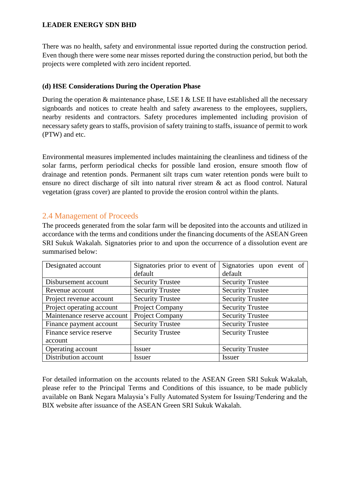There was no health, safety and environmental issue reported during the construction period. Even though there were some near misses reported during the construction period, but both the projects were completed with zero incident reported.

## **(d) HSE Considerations During the Operation Phase**

During the operation  $\&$  maintenance phase, LSE I  $\&$  LSE II have established all the necessary signboards and notices to create health and safety awareness to the employees, suppliers, nearby residents and contractors. Safety procedures implemented including provision of necessary safety gears to staffs, provision of safety training to staffs, issuance of permit to work (PTW) and etc.

Environmental measures implemented includes maintaining the cleanliness and tidiness of the solar farms, perform periodical checks for possible land erosion, ensure smooth flow of drainage and retention ponds. Permanent silt traps cum water retention ponds were built to ensure no direct discharge of silt into natural river stream & act as flood control. Natural vegetation (grass cover) are planted to provide the erosion control within the plants.

## 2.4 Management of Proceeds

The proceeds generated from the solar farm will be deposited into the accounts and utilized in accordance with the terms and conditions under the financing documents of the ASEAN Green SRI Sukuk Wakalah. Signatories prior to and upon the occurrence of a dissolution event are summarised below:

| Designated account          | Signatories prior to event of | Signatories upon event of |
|-----------------------------|-------------------------------|---------------------------|
|                             | default                       | default                   |
| Disbursement account        | <b>Security Trustee</b>       | <b>Security Trustee</b>   |
| Revenue account             | <b>Security Trustee</b>       | <b>Security Trustee</b>   |
| Project revenue account     | <b>Security Trustee</b>       | <b>Security Trustee</b>   |
| Project operating account   | Project Company               | <b>Security Trustee</b>   |
| Maintenance reserve account | Project Company               | <b>Security Trustee</b>   |
| Finance payment account     | <b>Security Trustee</b>       | <b>Security Trustee</b>   |
| Finance service reserve     | <b>Security Trustee</b>       | <b>Security Trustee</b>   |
| account                     |                               |                           |
| Operating account           | Issuer                        | <b>Security Trustee</b>   |
| Distribution account        | Issuer                        | <b>Issuer</b>             |

For detailed information on the accounts related to the ASEAN Green SRI Sukuk Wakalah, please refer to the Principal Terms and Conditions of this issuance, to be made publicly available on Bank Negara Malaysia's Fully Automated System for Issuing/Tendering and the BIX website after issuance of the ASEAN Green SRI Sukuk Wakalah.